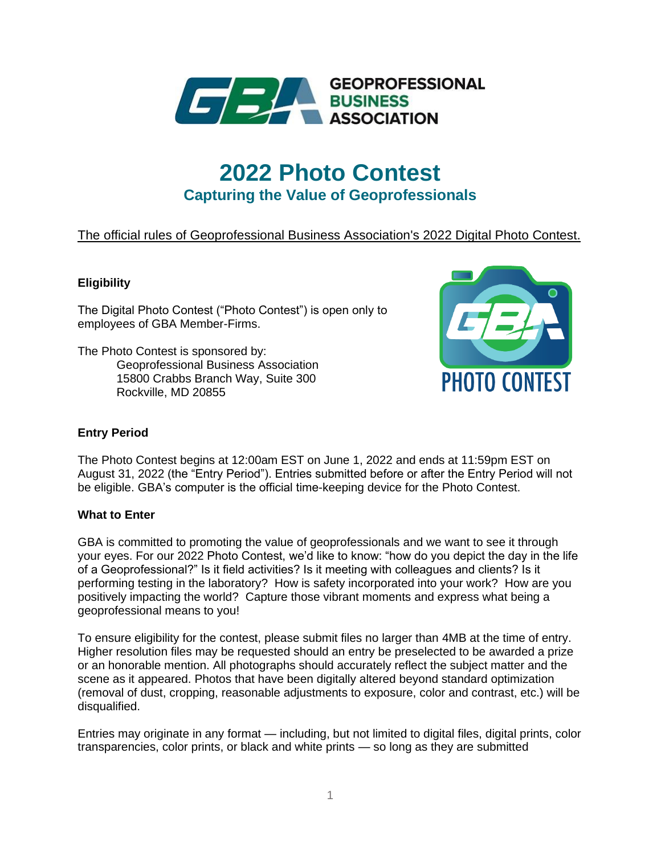

# **2022 Photo Contest Capturing the Value of Geoprofessionals**

# The official rules of Geoprofessional Business Association's 2022 Digital Photo Contest.

# **Eligibility**

The Digital Photo Contest ("Photo Contest") is open only to employees of GBA Member-Firms.

The Photo Contest is sponsored by: Geoprofessional Business Association 15800 Crabbs Branch Way, Suite 300 Rockville, MD 20855



# **Entry Period**

The Photo Contest begins at 12:00am EST on June 1, 2022 and ends at 11:59pm EST on August 31, 2022 (the "Entry Period"). Entries submitted before or after the Entry Period will not be eligible. GBA's computer is the official time-keeping device for the Photo Contest.

#### **What to Enter**

GBA is committed to promoting the value of geoprofessionals and we want to see it through your eyes. For our 2022 Photo Contest, we'd like to know: "how do you depict the day in the life of a Geoprofessional?" Is it field activities? Is it meeting with colleagues and clients? Is it performing testing in the laboratory? How is safety incorporated into your work? How are you positively impacting the world? Capture those vibrant moments and express what being a geoprofessional means to you!

To ensure eligibility for the contest, please submit files no larger than 4MB at the time of entry. Higher resolution files may be requested should an entry be preselected to be awarded a prize or an honorable mention. All photographs should accurately reflect the subject matter and the scene as it appeared. Photos that have been digitally altered beyond standard optimization (removal of dust, cropping, reasonable adjustments to exposure, color and contrast, etc.) will be disqualified.

Entries may originate in any format — including, but not limited to digital files, digital prints, color transparencies, color prints, or black and white prints — so long as they are submitted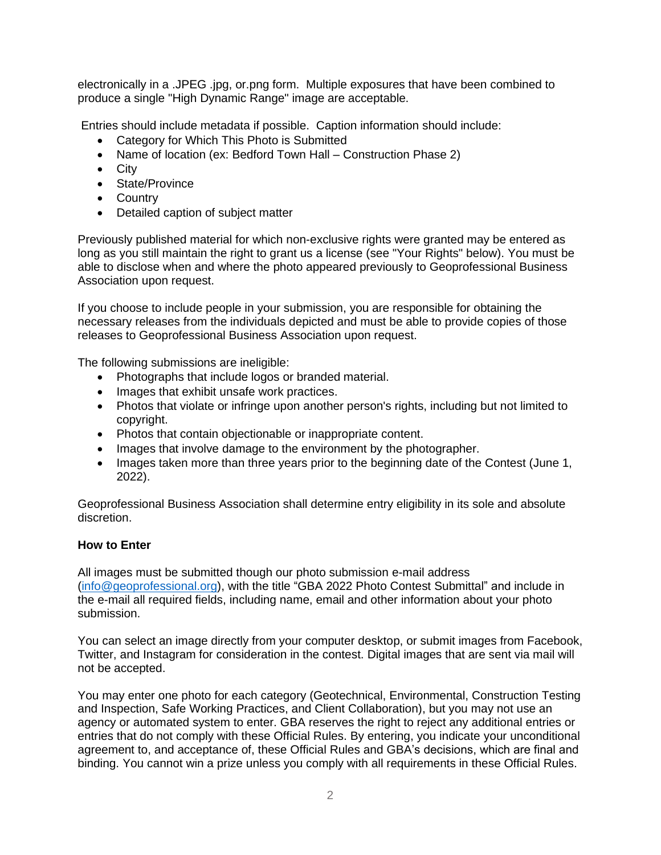electronically in a .JPEG .jpg, or.png form. Multiple exposures that have been combined to produce a single "High Dynamic Range" image are acceptable.

Entries should include metadata if possible. Caption information should include:

- Category for Which This Photo is Submitted
- Name of location (ex: Bedford Town Hall Construction Phase 2)
- City
- State/Province
- Country
- Detailed caption of subject matter

Previously published material for which non-exclusive rights were granted may be entered as long as you still maintain the right to grant us a license (see "Your Rights" below). You must be able to disclose when and where the photo appeared previously to Geoprofessional Business Association upon request.

If you choose to include people in your submission, you are responsible for obtaining the necessary releases from the individuals depicted and must be able to provide copies of those releases to Geoprofessional Business Association upon request.

The following submissions are ineligible:

- Photographs that include logos or branded material.
- Images that exhibit unsafe work practices.
- Photos that violate or infringe upon another person's rights, including but not limited to copyright.
- Photos that contain objectionable or inappropriate content.
- Images that involve damage to the environment by the photographer.
- Images taken more than three years prior to the beginning date of the Contest (June 1, 2022).

Geoprofessional Business Association shall determine entry eligibility in its sole and absolute discretion.

#### **How to Enter**

All images must be submitted though our photo submission e-mail address [\(info@geoprofessional.org\)](mailto:info@geoprofessional.org), with the title "GBA 2022 Photo Contest Submittal" and include in the e-mail all required fields, including name, email and other information about your photo submission.

You can select an image directly from your computer desktop, or submit images from Facebook, Twitter, and Instagram for consideration in the contest. Digital images that are sent via mail will not be accepted.

You may enter one photo for each category (Geotechnical, Environmental, Construction Testing and Inspection, Safe Working Practices, and Client Collaboration), but you may not use an agency or automated system to enter. GBA reserves the right to reject any additional entries or entries that do not comply with these Official Rules. By entering, you indicate your unconditional agreement to, and acceptance of, these Official Rules and GBA's decisions, which are final and binding. You cannot win a prize unless you comply with all requirements in these Official Rules.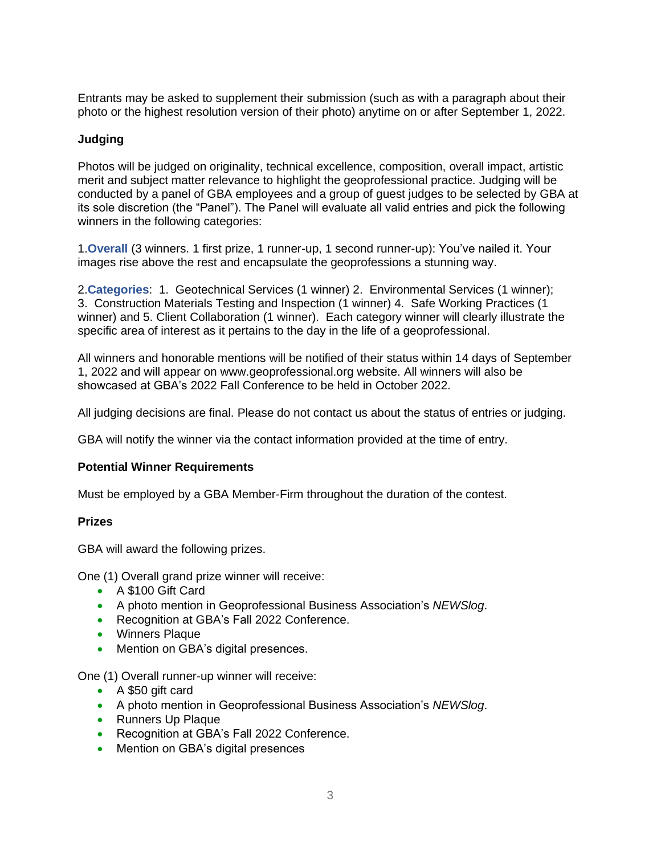Entrants may be asked to supplement their submission (such as with a paragraph about their photo or the highest resolution version of their photo) anytime on or after September 1, 2022.

# **Judging**

Photos will be judged on originality, technical excellence, composition, overall impact, artistic merit and subject matter relevance to highlight the geoprofessional practice. Judging will be conducted by a panel of GBA employees and a group of guest judges to be selected by GBA at its sole discretion (the "Panel"). The Panel will evaluate all valid entries and pick the following winners in the following categories:

1.**Overall** (3 winners. 1 first prize, 1 runner-up, 1 second runner-up): You've nailed it. Your images rise above the rest and encapsulate the geoprofessions a stunning way.

2.**Categories**: 1. Geotechnical Services (1 winner) 2. Environmental Services (1 winner); 3. Construction Materials Testing and Inspection (1 winner) 4. Safe Working Practices (1 winner) and 5. Client Collaboration (1 winner). Each category winner will clearly illustrate the specific area of interest as it pertains to the day in the life of a geoprofessional.

All winners and honorable mentions will be notified of their status within 14 days of September 1, 2022 and will appear on www.geoprofessional.org website. All winners will also be showcased at GBA's 2022 Fall Conference to be held in October 2022.

All judging decisions are final. Please do not contact us about the status of entries or judging.

GBA will notify the winner via the contact information provided at the time of entry.

#### **Potential Winner Requirements**

Must be employed by a GBA Member-Firm throughout the duration of the contest.

#### **Prizes**

GBA will award the following prizes.

One (1) Overall grand prize winner will receive:

- A \$100 Gift Card
- A photo mention in Geoprofessional Business Association's *NEWSlog*.
- Recognition at GBA's Fall 2022 Conference.
- Winners Plaque
- Mention on GBA's digital presences.

One (1) Overall runner-up winner will receive:

- A \$50 gift card
- A photo mention in Geoprofessional Business Association's *NEWSlog*.
- Runners Up Plaque
- Recognition at GBA's Fall 2022 Conference.
- Mention on GBA's digital presences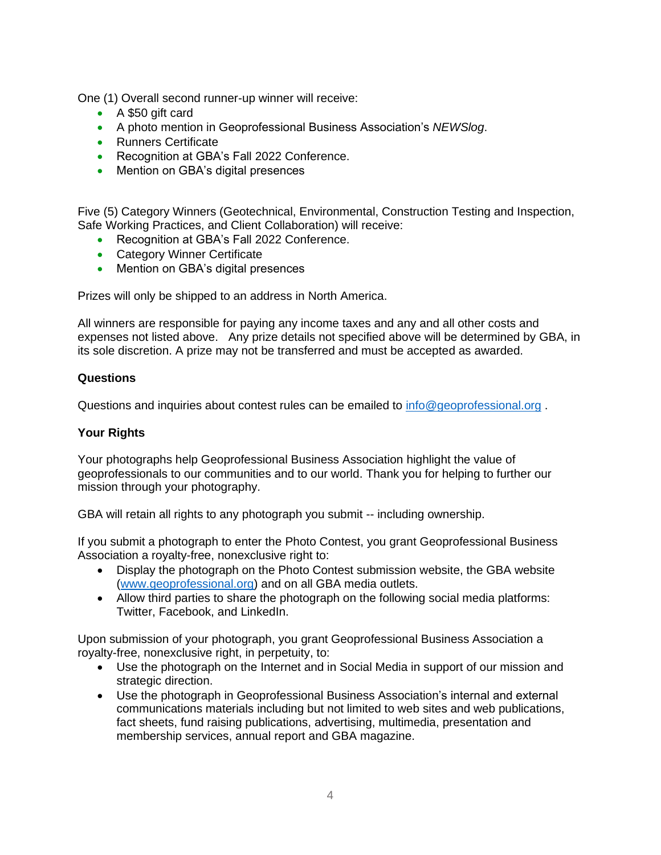One (1) Overall second runner-up winner will receive:

- A \$50 gift card
- A photo mention in Geoprofessional Business Association's *NEWSlog*.
- Runners Certificate
- Recognition at GBA's Fall 2022 Conference.
- Mention on GBA's digital presences

Five (5) Category Winners (Geotechnical, Environmental, Construction Testing and Inspection, Safe Working Practices, and Client Collaboration) will receive:

- Recognition at GBA's Fall 2022 Conference.
- Category Winner Certificate
- Mention on GBA's digital presences

Prizes will only be shipped to an address in North America.

All winners are responsible for paying any income taxes and any and all other costs and expenses not listed above. Any prize details not specified above will be determined by GBA, in its sole discretion. A prize may not be transferred and must be accepted as awarded.

#### **Questions**

Questions and inquiries about contest rules can be emailed to [info@geoprofessional.org](mailto:info@geoprofessional.org) .

#### **Your Rights**

Your photographs help Geoprofessional Business Association highlight the value of geoprofessionals to our communities and to our world. Thank you for helping to further our mission through your photography.

GBA will retain all rights to any photograph you submit -- including ownership.

If you submit a photograph to enter the Photo Contest, you grant Geoprofessional Business Association a royalty-free, nonexclusive right to:

- Display the photograph on the Photo Contest submission website, the GBA website [\(www.geoprofessional.org\)](http://www.geoprofessional.org/) and on all GBA media outlets.
- Allow third parties to share the photograph on the following social media platforms: Twitter, Facebook, and LinkedIn.

Upon submission of your photograph, you grant Geoprofessional Business Association a royalty-free, nonexclusive right, in perpetuity, to:

- Use the photograph on the Internet and in Social Media in support of our mission and strategic direction.
- Use the photograph in Geoprofessional Business Association's internal and external communications materials including but not limited to web sites and web publications, fact sheets, fund raising publications, advertising, multimedia, presentation and membership services, annual report and GBA magazine.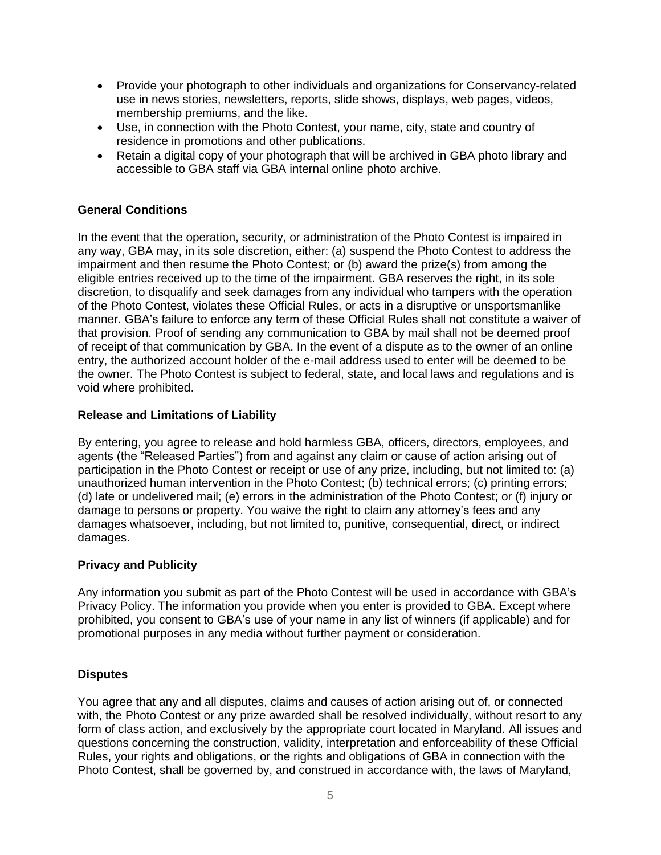- Provide your photograph to other individuals and organizations for Conservancy-related use in news stories, newsletters, reports, slide shows, displays, web pages, videos, membership premiums, and the like.
- Use, in connection with the Photo Contest, your name, city, state and country of residence in promotions and other publications.
- Retain a digital copy of your photograph that will be archived in GBA photo library and accessible to GBA staff via GBA internal online photo archive.

# **General Conditions**

In the event that the operation, security, or administration of the Photo Contest is impaired in any way, GBA may, in its sole discretion, either: (a) suspend the Photo Contest to address the impairment and then resume the Photo Contest; or (b) award the prize(s) from among the eligible entries received up to the time of the impairment. GBA reserves the right, in its sole discretion, to disqualify and seek damages from any individual who tampers with the operation of the Photo Contest, violates these Official Rules, or acts in a disruptive or unsportsmanlike manner. GBA's failure to enforce any term of these Official Rules shall not constitute a waiver of that provision. Proof of sending any communication to GBA by mail shall not be deemed proof of receipt of that communication by GBA. In the event of a dispute as to the owner of an online entry, the authorized account holder of the e-mail address used to enter will be deemed to be the owner. The Photo Contest is subject to federal, state, and local laws and regulations and is void where prohibited.

#### **Release and Limitations of Liability**

By entering, you agree to release and hold harmless GBA, officers, directors, employees, and agents (the "Released Parties") from and against any claim or cause of action arising out of participation in the Photo Contest or receipt or use of any prize, including, but not limited to: (a) unauthorized human intervention in the Photo Contest; (b) technical errors; (c) printing errors; (d) late or undelivered mail; (e) errors in the administration of the Photo Contest; or (f) injury or damage to persons or property. You waive the right to claim any attorney's fees and any damages whatsoever, including, but not limited to, punitive, consequential, direct, or indirect damages.

#### **Privacy and Publicity**

Any information you submit as part of the Photo Contest will be used in accordance with GBA's Privacy Policy. The information you provide when you enter is provided to GBA. Except where prohibited, you consent to GBA's use of your name in any list of winners (if applicable) and for promotional purposes in any media without further payment or consideration.

#### **Disputes**

You agree that any and all disputes, claims and causes of action arising out of, or connected with, the Photo Contest or any prize awarded shall be resolved individually, without resort to any form of class action, and exclusively by the appropriate court located in Maryland. All issues and questions concerning the construction, validity, interpretation and enforceability of these Official Rules, your rights and obligations, or the rights and obligations of GBA in connection with the Photo Contest, shall be governed by, and construed in accordance with, the laws of Maryland,